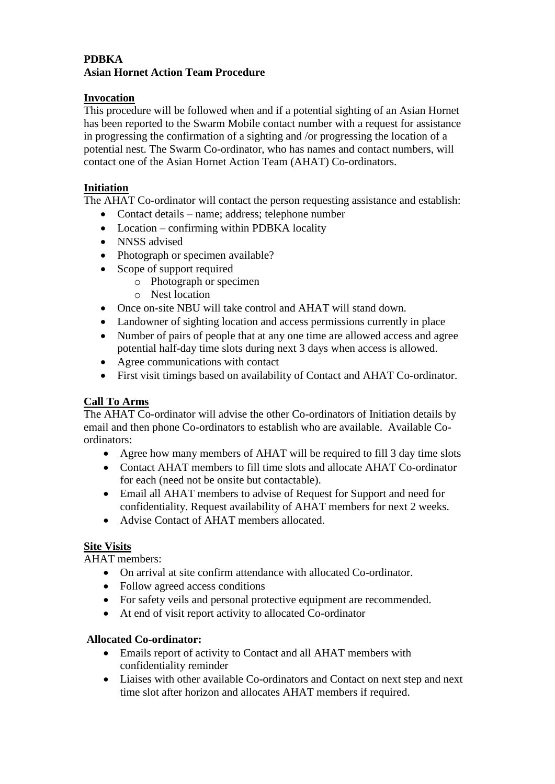# **PDBKA Asian Hornet Action Team Procedure**

# **Invocation**

This procedure will be followed when and if a potential sighting of an Asian Hornet has been reported to the Swarm Mobile contact number with a request for assistance in progressing the confirmation of a sighting and /or progressing the location of a potential nest. The Swarm Co-ordinator, who has names and contact numbers, will contact one of the Asian Hornet Action Team (AHAT) Co-ordinators.

### **Initiation**

The AHAT Co-ordinator will contact the person requesting assistance and establish:

- Contact details name; address; telephone number
- Location confirming within PDBKA locality
- NNSS advised
- Photograph or specimen available?
- Scope of support required
	- o Photograph or specimen
	- o Nest location
- Once on-site NBU will take control and AHAT will stand down.
- Landowner of sighting location and access permissions currently in place
- Number of pairs of people that at any one time are allowed access and agree potential half-day time slots during next 3 days when access is allowed.
- Agree communications with contact
- First visit timings based on availability of Contact and AHAT Co-ordinator.

# **Call To Arms**

The AHAT Co-ordinator will advise the other Co-ordinators of Initiation details by email and then phone Co-ordinators to establish who are available. Available Coordinators:

- Agree how many members of AHAT will be required to fill 3 day time slots
- Contact AHAT members to fill time slots and allocate AHAT Co-ordinator for each (need not be onsite but contactable).
- Email all AHAT members to advise of Request for Support and need for confidentiality. Request availability of AHAT members for next 2 weeks.
- Advise Contact of AHAT members allocated.

# **Site Visits**

AHAT members:

- On arrival at site confirm attendance with allocated Co-ordinator.
- Follow agreed access conditions
- For safety veils and personal protective equipment are recommended.
- At end of visit report activity to allocated Co-ordinator

# **Allocated Co-ordinator:**

- Emails report of activity to Contact and all AHAT members with confidentiality reminder
- Liaises with other available Co-ordinators and Contact on next step and next time slot after horizon and allocates AHAT members if required.